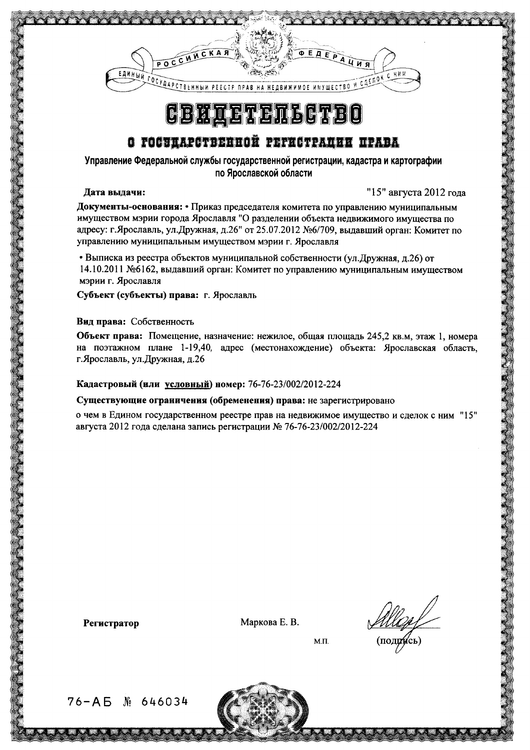

# **CBHAETETLGTB**

## О ГОСЭДАРСТВЕННОЙ РЕГИСТРАЦИИ ПРАВА

Управление Федеральной службы государственной регистрации, кадастра и картографии по Ярославской области

### Дата выдачи:

"15" августа 2012 гола

Документы-основания: • Приказ председателя комитета по управлению муниципальным имуществом мэрии города Ярославля "О разделении объекта недвижимого имущества по адресу: г.Ярославль, ул.Дружная, д.26" от 25.07.2012 №6/709, выдавший орган: Комитет по управлению муниципальным имуществом мэрии г. Ярославля

• Выписка из реестра объектов муниципальной собственности (ул. Дружная, д.26) от 14.10.2011 №6162, выдавший орган: Комитет по управлению муниципальным имуществом мэрии г. Ярославля

Субъект (субъекты) права: г. Ярославль

### Вид права: Собственность

Объект права: Помещение, назначение: нежилое, общая площадь 245,2 кв.м, этаж 1, номера на поэтажном плане 1-19,40, адрес (местонахождение) объекта: Ярославская область, г. Ярославль, ул. Дружная, д.26

### Кадастровый (или условный) номер: 76-76-23/002/2012-224

#### Существующие ограничения (обременения) права: не зарегистрировано

о чем в Едином государственном реестре прав на недвижимое имущество и сделок с ним "15" августа 2012 года сделана запись регистрации № 76-76-23/002/2012-224

**Регистратор** 

Маркова Е. В.

 $(\text{noqgreen})$ 

 $M.\Pi.$ 

 $76 - AB$  M  $646034$ 

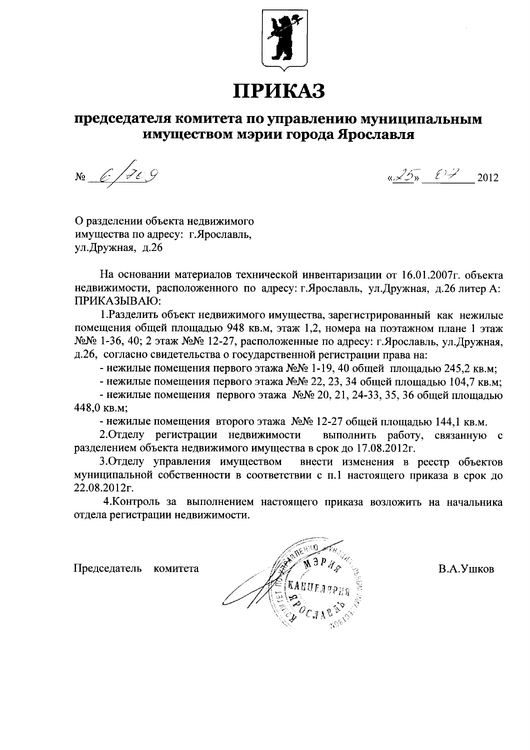

# ПРИКАЗ

### председателя комитета по управлению муниципальным имуществом мэрии города Ярославля

 $N_2 6709$ 

 $\sqrt{25}$   $\frac{25}{1}$  2012

О разделении объекта недвижимого имущества по адресу: г. Ярославль, ул. Дружная, д.26

На основании материалов технической инвентаризации от 16.01.2007г. объекта недвижимости, расположенного по адресу: г. Ярославль, ул. Дружная, д.26 литер А: ПРИКАЗЫВАЮ:

1. Разделить объект недвижимого имущества, зарегистрированный как нежилые помещения общей площадью 948 кв.м, этаж 1,2, номера на поэтажном плане 1 этаж №№ 1-36, 40; 2 этаж №№ 12-27, расположенные по адресу: г.Ярославль, ул.Дружная, д.26, согласно свидетельства о государственной регистрации права на:

- нежилые помещения первого этажа №№ 1-19, 40 общей площадью 245.2 кв.м;

- нежилые помещения первого этажа №№ 22, 23, 34 общей площадью 104,7 кв.м;

- нежилые помещения первого этажа  $N_2N_2$  20, 21, 24-33, 35, 36 общей плошалью 448.0 кв.м:

- нежилые помещения второго этажа №№ 12-27 общей площадью 144,1 кв.м.

2. Отделу регистрации недвижимости выполнить работу, связанную с разделением объекта недвижимого имущества в срок до 17.08.2012г.

3. Отделу управления имуществом внести изменения в реестр объектов муниципальной собственности в соответствии с п.1 настоящего приказа в срок до 22.08.2012г.

4. Контроль за выполнением настоящего приказа возложить на начальника отдела регистрации недвижимости.

Председатель комитета

В.А.Ушков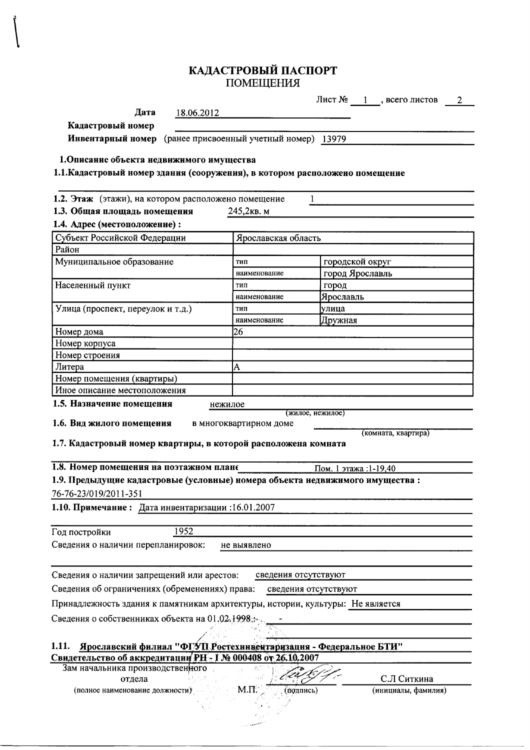# КАДАСТРОВЫЙ ПАСПОРТ<br>ПОМЕЩЕНИЯ

|                                                                                |                                                           | Лист № 1, всего листов<br>$\overline{c}$ |
|--------------------------------------------------------------------------------|-----------------------------------------------------------|------------------------------------------|
| Дата<br>18.06.2012                                                             |                                                           |                                          |
| Кадастровый номер                                                              |                                                           |                                          |
|                                                                                | Инвентарный номер (ранее присвоенный учетный номер) 13979 |                                          |
|                                                                                |                                                           |                                          |
| 1. Описание объекта недвижимого имущества                                      |                                                           |                                          |
| 1.1. Кадастровый номер здания (сооружения), в котором расположено помещение    |                                                           |                                          |
|                                                                                |                                                           |                                          |
| 1.2. Этаж (этажи), на котором расположено помещение                            |                                                           |                                          |
| 1.3. Общая площадь помещения                                                   | 245,2кв. м                                                |                                          |
| 1.4. Адрес (местоположение):                                                   |                                                           |                                          |
| Субъект Российской Федерации                                                   | Ярославская область                                       |                                          |
| Район                                                                          |                                                           |                                          |
| Муниципальное образование                                                      | тип                                                       | городской округ                          |
|                                                                                | наименование                                              | город Ярославль                          |
| Населенный пункт                                                               | тип                                                       | город                                    |
|                                                                                | наименование                                              | Ярославль                                |
| Улица (проспект, переулок и т.д.)                                              | ТИП                                                       | улица                                    |
|                                                                                | наименование                                              | Дружная                                  |
| Номер дома                                                                     | 26                                                        |                                          |
| Номер корпуса                                                                  |                                                           |                                          |
| Номер строения                                                                 |                                                           |                                          |
| Литера                                                                         | A                                                         |                                          |
| Номер помещения (квартиры)<br>Иное описание местоположения                     |                                                           |                                          |
|                                                                                |                                                           |                                          |
| 1.5. Назначение помещения<br>нежилое                                           | (жилое, нежилое)                                          |                                          |
| 1.6. Вид жилого помещения                                                      | в многоквартирном доме                                    |                                          |
|                                                                                |                                                           | (комната, квартира)                      |
| 1.7. Кадастровый номер квартиры, в которой расположена комната                 |                                                           |                                          |
|                                                                                |                                                           |                                          |
| 1.8. Номер помещения на поэтажном плане<br>Пом. 1 этажа: 1-19,40               |                                                           |                                          |
| 1.9. Предыдущие кадастровые (условные) номера объекта недвижимого имущества:   |                                                           |                                          |
| 76-76-23/019/2011-351                                                          |                                                           |                                          |
| 1.10. Примечание: Дата инвентаризации: 16.01.2007                              |                                                           |                                          |
|                                                                                |                                                           |                                          |
| 1952<br>Год постройки                                                          |                                                           |                                          |
| Сведения о наличии перепланировок:<br>не выявлено                              |                                                           |                                          |
|                                                                                |                                                           |                                          |
| Сведения о наличии запрещений или арестов:<br>сведения отсутствуют             |                                                           |                                          |
| Сведения об ограничениях (обременениях) права:<br>сведения отсутствуют         |                                                           |                                          |
|                                                                                |                                                           |                                          |
| Принадлежность здания к памятникам архитектуры, истории, культуры: Не является |                                                           |                                          |
| Сведения о собственниках объекта на 01.02.1998;                                |                                                           |                                          |
|                                                                                |                                                           |                                          |
| Ярославский филиал "ФГУП Ростехинвентаризация - Федеральное БТИ"<br>1.11.      |                                                           |                                          |
|                                                                                |                                                           |                                          |
| Свидетельство об аккредитации РН - 1 № 000408 от 26.10.2007                    |                                                           |                                          |
| Зам начальника производственного                                               |                                                           |                                          |
| отдела                                                                         |                                                           | С.Л Ситкина                              |
| (полное наименование должности)                                                | M <sub>II</sub><br>(подпись)                              | (инициалы, фамилия)                      |
|                                                                                |                                                           |                                          |